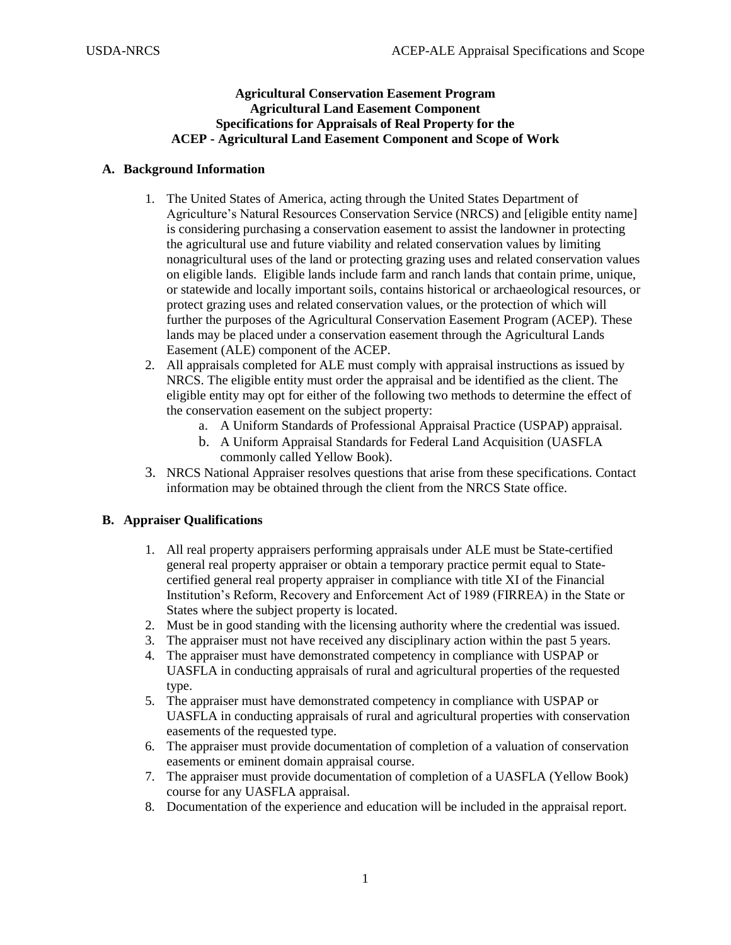#### **Agricultural Conservation Easement Program Agricultural Land Easement Component Specifications for Appraisals of Real Property for the ACEP - Agricultural Land Easement Component and Scope of Work**

#### **A. Background Information**

- 1. The United States of America, acting through the United States Department of Agriculture's Natural Resources Conservation Service (NRCS) and [eligible entity name] is considering purchasing a conservation easement to assist the landowner in protecting the agricultural use and future viability and related conservation values by limiting nonagricultural uses of the land or protecting grazing uses and related conservation values on eligible lands. Eligible lands include farm and ranch lands that contain prime, unique, or statewide and locally important soils, contains historical or archaeological resources, or protect grazing uses and related conservation values, or the protection of which will further the purposes of the Agricultural Conservation Easement Program (ACEP). These lands may be placed under a conservation easement through the Agricultural Lands Easement (ALE) component of the ACEP.
- 2. All appraisals completed for ALE must comply with appraisal instructions as issued by NRCS. The eligible entity must order the appraisal and be identified as the client. The eligible entity may opt for either of the following two methods to determine the effect of the conservation easement on the subject property:
	- a. A Uniform Standards of Professional Appraisal Practice (USPAP) appraisal.
	- b. A Uniform Appraisal Standards for Federal Land Acquisition (UASFLA commonly called Yellow Book).
- 3. NRCS National Appraiser resolves questions that arise from these specifications. Contact information may be obtained through the client from the NRCS State office.

# **B. Appraiser Qualifications**

- 1. All real property appraisers performing appraisals under ALE must be State-certified general real property appraiser or obtain a temporary practice permit equal to Statecertified general real property appraiser in compliance with title XI of the Financial Institution's Reform, Recovery and Enforcement Act of 1989 (FIRREA) in the State or States where the subject property is located.
- 2. Must be in good standing with the licensing authority where the credential was issued.
- 3. The appraiser must not have received any disciplinary action within the past 5 years.
- 4. The appraiser must have demonstrated competency in compliance with USPAP or UASFLA in conducting appraisals of rural and agricultural properties of the requested type.
- 5. The appraiser must have demonstrated competency in compliance with USPAP or UASFLA in conducting appraisals of rural and agricultural properties with conservation easements of the requested type.
- 6. The appraiser must provide documentation of completion of a valuation of conservation easements or eminent domain appraisal course.
- 7. The appraiser must provide documentation of completion of a UASFLA (Yellow Book) course for any UASFLA appraisal.
- 8. Documentation of the experience and education will be included in the appraisal report.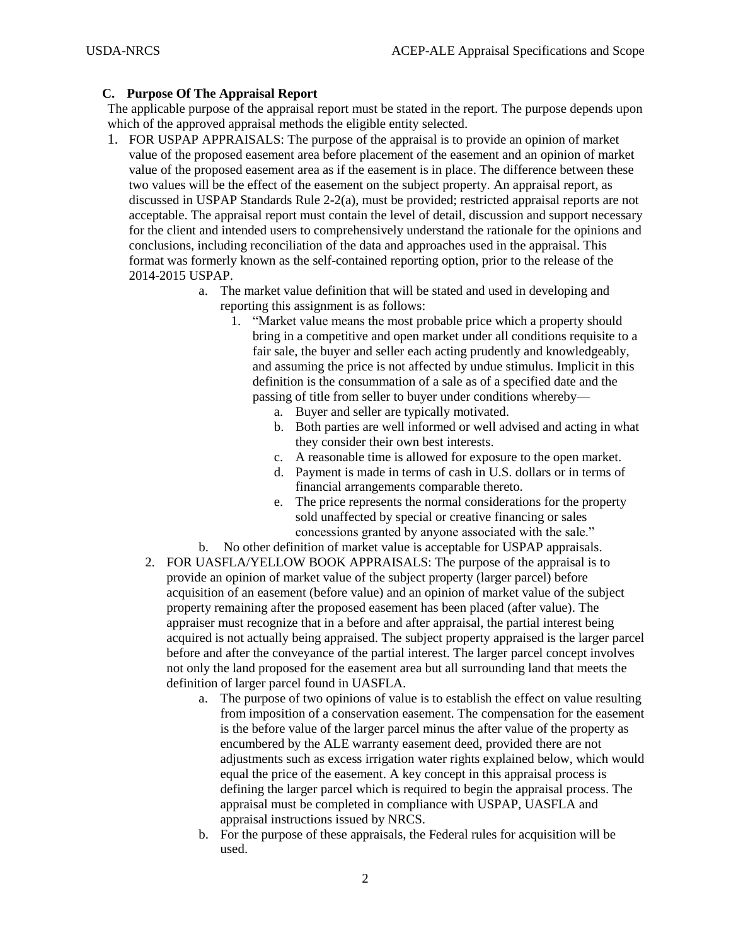### **C. Purpose Of The Appraisal Report**

The applicable purpose of the appraisal report must be stated in the report. The purpose depends upon which of the approved appraisal methods the eligible entity selected.

- 1. FOR USPAP APPRAISALS: The purpose of the appraisal is to provide an opinion of market value of the proposed easement area before placement of the easement and an opinion of market value of the proposed easement area as if the easement is in place. The difference between these two values will be the effect of the easement on the subject property. An appraisal report, as discussed in USPAP Standards Rule 2-2(a), must be provided; restricted appraisal reports are not acceptable. The appraisal report must contain the level of detail, discussion and support necessary for the client and intended users to comprehensively understand the rationale for the opinions and conclusions, including reconciliation of the data and approaches used in the appraisal. This format was formerly known as the self-contained reporting option, prior to the release of the 2014-2015 USPAP.
	- a. The market value definition that will be stated and used in developing and reporting this assignment is as follows:
		- 1. "Market value means the most probable price which a property should bring in a competitive and open market under all conditions requisite to a fair sale, the buyer and seller each acting prudently and knowledgeably, and assuming the price is not affected by undue stimulus. Implicit in this definition is the consummation of a sale as of a specified date and the passing of title from seller to buyer under conditions whereby
			- a. Buyer and seller are typically motivated.
			- b. Both parties are well informed or well advised and acting in what they consider their own best interests.
			- c. A reasonable time is allowed for exposure to the open market.
			- d. Payment is made in terms of cash in U.S. dollars or in terms of financial arrangements comparable thereto.
			- e. The price represents the normal considerations for the property sold unaffected by special or creative financing or sales concessions granted by anyone associated with the sale."
	- b. No other definition of market value is acceptable for USPAP appraisals.
	- 2. FOR UASFLA/YELLOW BOOK APPRAISALS: The purpose of the appraisal is to provide an opinion of market value of the subject property (larger parcel) before acquisition of an easement (before value) and an opinion of market value of the subject property remaining after the proposed easement has been placed (after value). The appraiser must recognize that in a before and after appraisal, the partial interest being acquired is not actually being appraised. The subject property appraised is the larger parcel before and after the conveyance of the partial interest. The larger parcel concept involves not only the land proposed for the easement area but all surrounding land that meets the definition of larger parcel found in UASFLA.
		- a. The purpose of two opinions of value is to establish the effect on value resulting from imposition of a conservation easement. The compensation for the easement is the before value of the larger parcel minus the after value of the property as encumbered by the ALE warranty easement deed, provided there are not adjustments such as excess irrigation water rights explained below, which would equal the price of the easement. A key concept in this appraisal process is defining the larger parcel which is required to begin the appraisal process. The appraisal must be completed in compliance with USPAP, UASFLA and appraisal instructions issued by NRCS.
		- b. For the purpose of these appraisals, the Federal rules for acquisition will be used.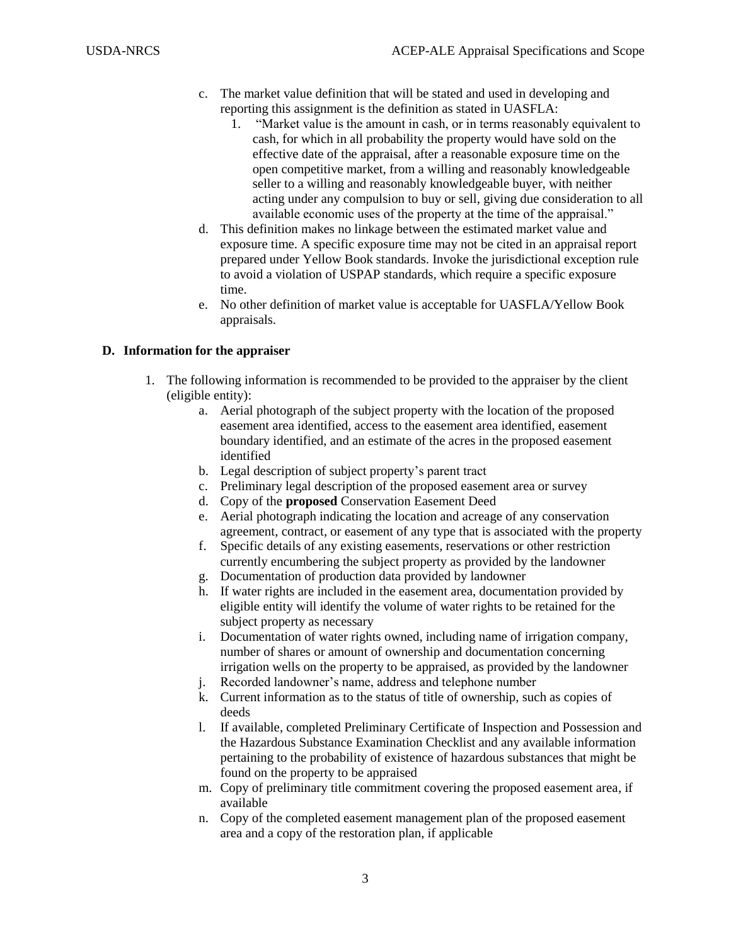- c. The market value definition that will be stated and used in developing and reporting this assignment is the definition as stated in UASFLA:
	- 1. "Market value is the amount in cash, or in terms reasonably equivalent to cash, for which in all probability the property would have sold on the effective date of the appraisal, after a reasonable exposure time on the open competitive market, from a willing and reasonably knowledgeable seller to a willing and reasonably knowledgeable buyer, with neither acting under any compulsion to buy or sell, giving due consideration to all available economic uses of the property at the time of the appraisal."
- d. This definition makes no linkage between the estimated market value and exposure time. A specific exposure time may not be cited in an appraisal report prepared under Yellow Book standards. Invoke the jurisdictional exception rule to avoid a violation of USPAP standards, which require a specific exposure time.
- e. No other definition of market value is acceptable for UASFLA/Yellow Book appraisals.

# **D. Information for the appraiser**

- 1. The following information is recommended to be provided to the appraiser by the client (eligible entity):
	- a. Aerial photograph of the subject property with the location of the proposed easement area identified, access to the easement area identified, easement boundary identified, and an estimate of the acres in the proposed easement identified
	- b. Legal description of subject property's parent tract
	- c. Preliminary legal description of the proposed easement area or survey
	- d. Copy of the **proposed** Conservation Easement Deed
	- e. Aerial photograph indicating the location and acreage of any conservation agreement, contract, or easement of any type that is associated with the property
	- f. Specific details of any existing easements, reservations or other restriction currently encumbering the subject property as provided by the landowner
	- g. Documentation of production data provided by landowner
	- h. If water rights are included in the easement area, documentation provided by eligible entity will identify the volume of water rights to be retained for the subject property as necessary
	- i. Documentation of water rights owned, including name of irrigation company, number of shares or amount of ownership and documentation concerning irrigation wells on the property to be appraised, as provided by the landowner
	- j. Recorded landowner's name, address and telephone number
	- k. Current information as to the status of title of ownership, such as copies of deeds
	- l. If available, completed Preliminary Certificate of Inspection and Possession and the Hazardous Substance Examination Checklist and any available information pertaining to the probability of existence of hazardous substances that might be found on the property to be appraised
	- m. Copy of preliminary title commitment covering the proposed easement area, if available
	- n. Copy of the completed easement management plan of the proposed easement area and a copy of the restoration plan, if applicable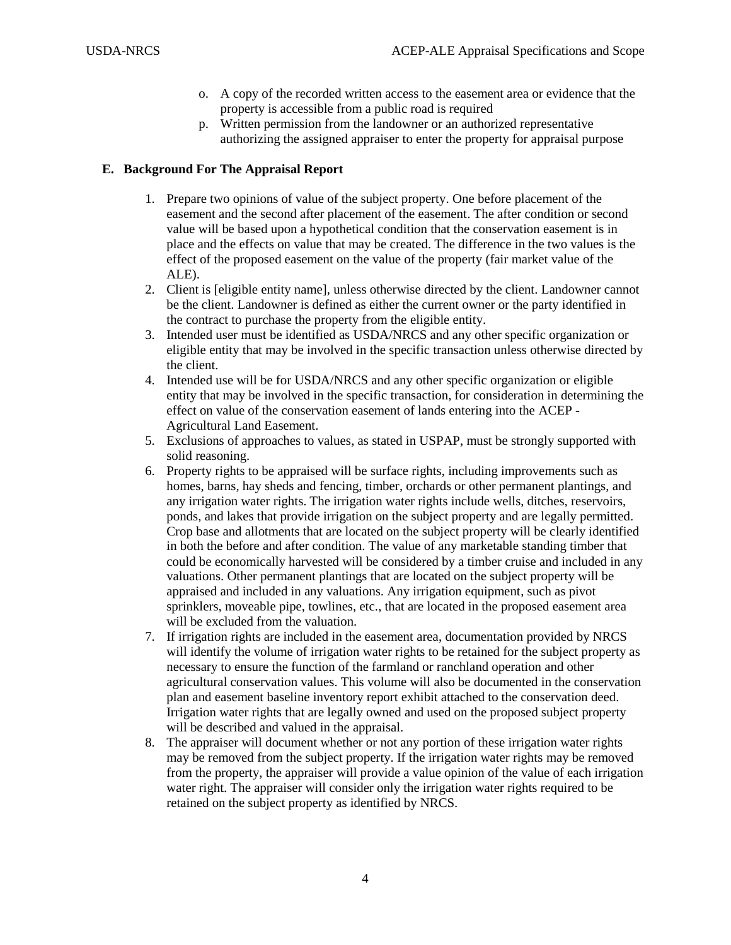- o. A copy of the recorded written access to the easement area or evidence that the property is accessible from a public road is required
- p. Written permission from the landowner or an authorized representative authorizing the assigned appraiser to enter the property for appraisal purpose

#### **E. Background For The Appraisal Report**

- 1. Prepare two opinions of value of the subject property. One before placement of the easement and the second after placement of the easement. The after condition or second value will be based upon a hypothetical condition that the conservation easement is in place and the effects on value that may be created. The difference in the two values is the effect of the proposed easement on the value of the property (fair market value of the ALE).
- 2. Client is [eligible entity name], unless otherwise directed by the client. Landowner cannot be the client. Landowner is defined as either the current owner or the party identified in the contract to purchase the property from the eligible entity.
- 3. Intended user must be identified as USDA/NRCS and any other specific organization or eligible entity that may be involved in the specific transaction unless otherwise directed by the client.
- 4. Intended use will be for USDA/NRCS and any other specific organization or eligible entity that may be involved in the specific transaction, for consideration in determining the effect on value of the conservation easement of lands entering into the ACEP - Agricultural Land Easement.
- 5. Exclusions of approaches to values, as stated in USPAP, must be strongly supported with solid reasoning.
- 6. Property rights to be appraised will be surface rights, including improvements such as homes, barns, hay sheds and fencing, timber, orchards or other permanent plantings, and any irrigation water rights. The irrigation water rights include wells, ditches, reservoirs, ponds, and lakes that provide irrigation on the subject property and are legally permitted. Crop base and allotments that are located on the subject property will be clearly identified in both the before and after condition. The value of any marketable standing timber that could be economically harvested will be considered by a timber cruise and included in any valuations. Other permanent plantings that are located on the subject property will be appraised and included in any valuations. Any irrigation equipment, such as pivot sprinklers, moveable pipe, towlines, etc., that are located in the proposed easement area will be excluded from the valuation.
- 7. If irrigation rights are included in the easement area, documentation provided by NRCS will identify the volume of irrigation water rights to be retained for the subject property as necessary to ensure the function of the farmland or ranchland operation and other agricultural conservation values. This volume will also be documented in the conservation plan and easement baseline inventory report exhibit attached to the conservation deed. Irrigation water rights that are legally owned and used on the proposed subject property will be described and valued in the appraisal.
- 8. The appraiser will document whether or not any portion of these irrigation water rights may be removed from the subject property. If the irrigation water rights may be removed from the property, the appraiser will provide a value opinion of the value of each irrigation water right. The appraiser will consider only the irrigation water rights required to be retained on the subject property as identified by NRCS.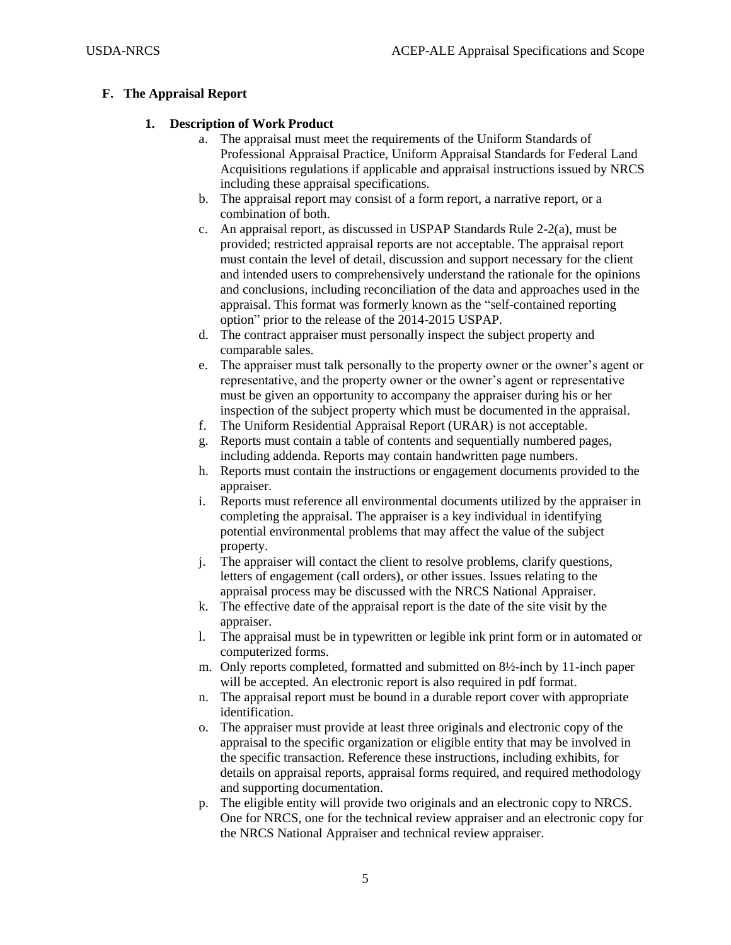## **F. The Appraisal Report**

## **1. Description of Work Product**

- a. The appraisal must meet the requirements of the Uniform Standards of Professional Appraisal Practice, Uniform Appraisal Standards for Federal Land Acquisitions regulations if applicable and appraisal instructions issued by NRCS including these appraisal specifications.
- b. The appraisal report may consist of a form report, a narrative report, or a combination of both.
- c. An appraisal report, as discussed in USPAP Standards Rule 2-2(a), must be provided; restricted appraisal reports are not acceptable. The appraisal report must contain the level of detail, discussion and support necessary for the client and intended users to comprehensively understand the rationale for the opinions and conclusions, including reconciliation of the data and approaches used in the appraisal. This format was formerly known as the "self-contained reporting option" prior to the release of the 2014-2015 USPAP.
- d. The contract appraiser must personally inspect the subject property and comparable sales.
- e. The appraiser must talk personally to the property owner or the owner's agent or representative, and the property owner or the owner's agent or representative must be given an opportunity to accompany the appraiser during his or her inspection of the subject property which must be documented in the appraisal.
- f. The Uniform Residential Appraisal Report (URAR) is not acceptable.
- g. Reports must contain a table of contents and sequentially numbered pages, including addenda. Reports may contain handwritten page numbers.
- h. Reports must contain the instructions or engagement documents provided to the appraiser.
- i. Reports must reference all environmental documents utilized by the appraiser in completing the appraisal. The appraiser is a key individual in identifying potential environmental problems that may affect the value of the subject property.
- j. The appraiser will contact the client to resolve problems, clarify questions, letters of engagement (call orders), or other issues. Issues relating to the appraisal process may be discussed with the NRCS National Appraiser.
- k. The effective date of the appraisal report is the date of the site visit by the appraiser.
- l. The appraisal must be in typewritten or legible ink print form or in automated or computerized forms.
- m. Only reports completed, formatted and submitted on 8½-inch by 11-inch paper will be accepted. An electronic report is also required in pdf format.
- n. The appraisal report must be bound in a durable report cover with appropriate identification.
- o. The appraiser must provide at least three originals and electronic copy of the appraisal to the specific organization or eligible entity that may be involved in the specific transaction. Reference these instructions, including exhibits, for details on appraisal reports, appraisal forms required, and required methodology and supporting documentation.
- p. The eligible entity will provide two originals and an electronic copy to NRCS. One for NRCS, one for the technical review appraiser and an electronic copy for the NRCS National Appraiser and technical review appraiser.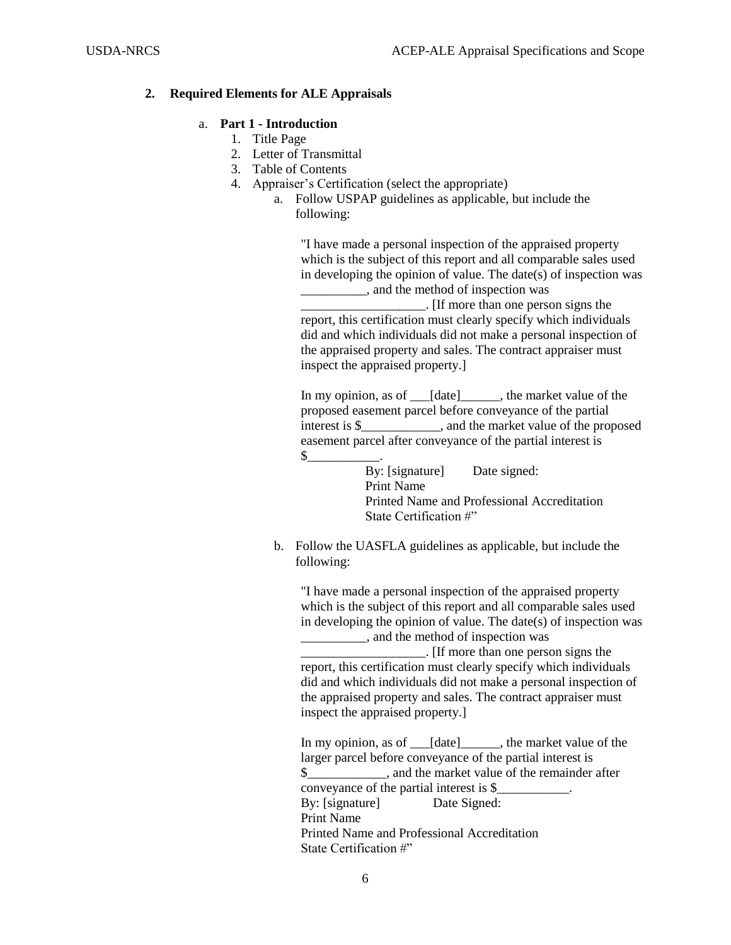### **2. Required Elements for ALE Appraisals**

## a. **Part 1 - Introduction**

- 1. Title Page
- 2. Letter of Transmittal
- 3. Table of Contents
- 4. Appraiser's Certification (select the appropriate)
	- a. Follow USPAP guidelines as applicable, but include the following:

"I have made a personal inspection of the appraised property which is the subject of this report and all comparable sales used in developing the opinion of value. The date(s) of inspection was \_\_\_\_\_\_\_\_\_\_, and the method of inspection was \_\_\_\_\_\_\_\_\_\_\_\_\_\_\_\_\_\_\_. [If more than one person signs the report, this certification must clearly specify which individuals did and which individuals did not make a personal inspection of the appraised property and sales. The contract appraiser must inspect the appraised property.]

In my opinion, as of \_\_\_[date]\_\_\_\_\_\_, the market value of the proposed easement parcel before conveyance of the partial interest is \$\_\_\_\_\_\_\_\_\_\_\_\_, and the market value of the proposed easement parcel after conveyance of the partial interest is  $\frac{1}{2}$ 

By: [signature] Date signed: Print Name Printed Name and Professional Accreditation State Certification #"

b. Follow the UASFLA guidelines as applicable, but include the following:

"I have made a personal inspection of the appraised property which is the subject of this report and all comparable sales used in developing the opinion of value. The date(s) of inspection was \_\_\_\_\_\_\_\_\_\_, and the method of inspection was \_\_\_\_\_\_\_\_\_\_\_\_\_\_\_\_\_\_\_. [If more than one person signs the

report, this certification must clearly specify which individuals did and which individuals did not make a personal inspection of the appraised property and sales. The contract appraiser must inspect the appraised property.]

In my opinion, as of \_\_\_[date]\_\_\_\_\_\_, the market value of the larger parcel before conveyance of the partial interest is \$\_\_\_\_\_\_\_\_\_\_\_\_, and the market value of the remainder after conveyance of the partial interest is \$\_\_\_\_\_\_\_\_\_\_\_. By: [signature] Date Signed: Print Name Printed Name and Professional Accreditation State Certification #"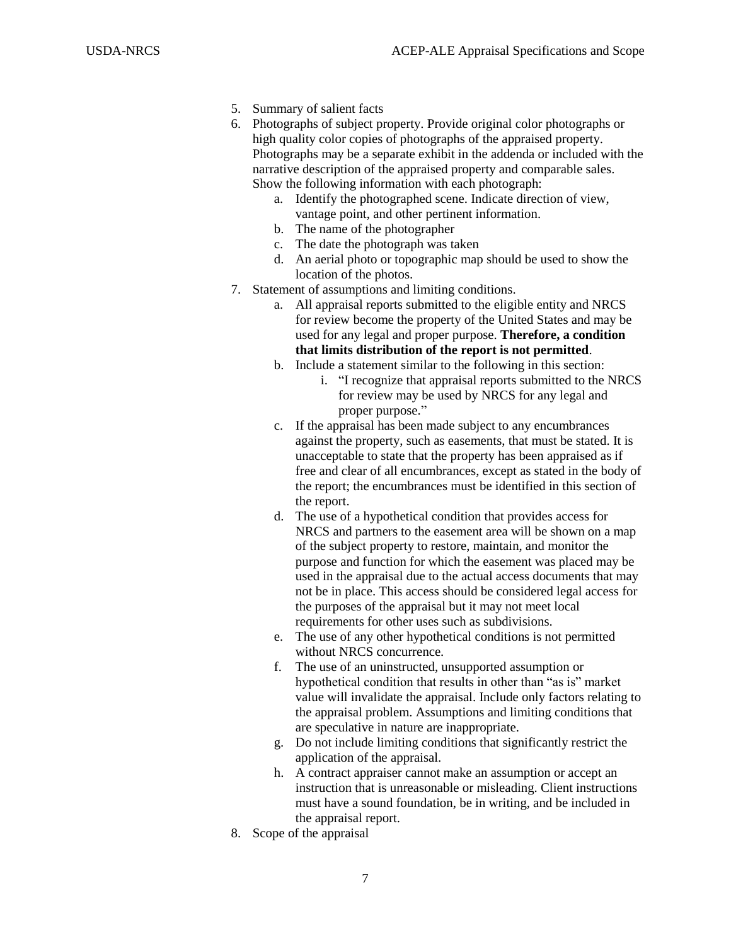- 5. Summary of salient facts
- 6. Photographs of subject property. Provide original color photographs or high quality color copies of photographs of the appraised property. Photographs may be a separate exhibit in the addenda or included with the narrative description of the appraised property and comparable sales. Show the following information with each photograph:
	- a. Identify the photographed scene. Indicate direction of view, vantage point, and other pertinent information.
	- b. The name of the photographer
	- c. The date the photograph was taken
	- d. An aerial photo or topographic map should be used to show the location of the photos.
- 7. Statement of assumptions and limiting conditions.
	- a. All appraisal reports submitted to the eligible entity and NRCS for review become the property of the United States and may be used for any legal and proper purpose. **Therefore, a condition that limits distribution of the report is not permitted**.
	- b. Include a statement similar to the following in this section:
		- i. "I recognize that appraisal reports submitted to the NRCS for review may be used by NRCS for any legal and proper purpose."
	- c. If the appraisal has been made subject to any encumbrances against the property, such as easements, that must be stated. It is unacceptable to state that the property has been appraised as if free and clear of all encumbrances, except as stated in the body of the report; the encumbrances must be identified in this section of the report.
	- d. The use of a hypothetical condition that provides access for NRCS and partners to the easement area will be shown on a map of the subject property to restore, maintain, and monitor the purpose and function for which the easement was placed may be used in the appraisal due to the actual access documents that may not be in place. This access should be considered legal access for the purposes of the appraisal but it may not meet local requirements for other uses such as subdivisions.
	- e. The use of any other hypothetical conditions is not permitted without NRCS concurrence.
	- f. The use of an uninstructed, unsupported assumption or hypothetical condition that results in other than "as is" market value will invalidate the appraisal. Include only factors relating to the appraisal problem. Assumptions and limiting conditions that are speculative in nature are inappropriate.
	- g. Do not include limiting conditions that significantly restrict the application of the appraisal.
	- h. A contract appraiser cannot make an assumption or accept an instruction that is unreasonable or misleading. Client instructions must have a sound foundation, be in writing, and be included in the appraisal report.
- 8. Scope of the appraisal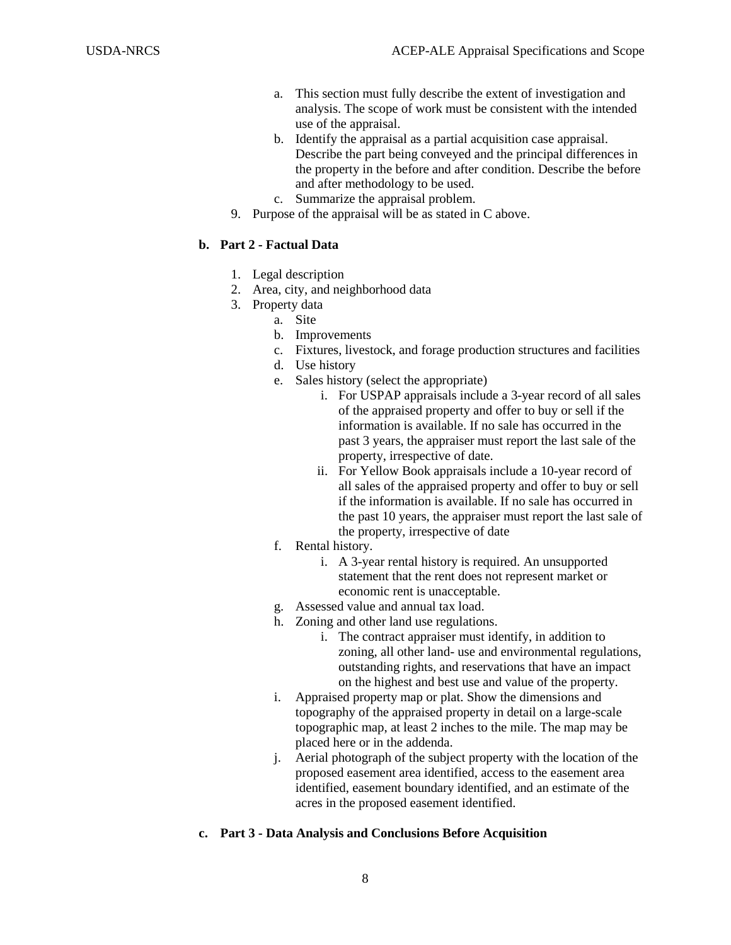- a. This section must fully describe the extent of investigation and analysis. The scope of work must be consistent with the intended use of the appraisal.
- b. Identify the appraisal as a partial acquisition case appraisal. Describe the part being conveyed and the principal differences in the property in the before and after condition. Describe the before and after methodology to be used.
- c. Summarize the appraisal problem.
- 9. Purpose of the appraisal will be as stated in C above.

## **b. Part 2 - Factual Data**

- 1. Legal description
- 2. Area, city, and neighborhood data
- 3. Property data
	- a. Site
	- b. Improvements
	- c. Fixtures, livestock, and forage production structures and facilities
	- d. Use history
	- e. Sales history (select the appropriate)
		- i. For USPAP appraisals include a 3-year record of all sales of the appraised property and offer to buy or sell if the information is available. If no sale has occurred in the past 3 years, the appraiser must report the last sale of the property, irrespective of date.
		- ii. For Yellow Book appraisals include a 10-year record of all sales of the appraised property and offer to buy or sell if the information is available. If no sale has occurred in the past 10 years, the appraiser must report the last sale of the property, irrespective of date
	- f. Rental history.
		- i. A 3-year rental history is required. An unsupported statement that the rent does not represent market or economic rent is unacceptable.
	- g. Assessed value and annual tax load.
	- h. Zoning and other land use regulations.
		- i. The contract appraiser must identify, in addition to zoning, all other land- use and environmental regulations, outstanding rights, and reservations that have an impact on the highest and best use and value of the property.
	- i. Appraised property map or plat. Show the dimensions and topography of the appraised property in detail on a large-scale topographic map, at least 2 inches to the mile. The map may be placed here or in the addenda.
	- j. Aerial photograph of the subject property with the location of the proposed easement area identified, access to the easement area identified, easement boundary identified, and an estimate of the acres in the proposed easement identified.

## **c. Part 3 - Data Analysis and Conclusions Before Acquisition**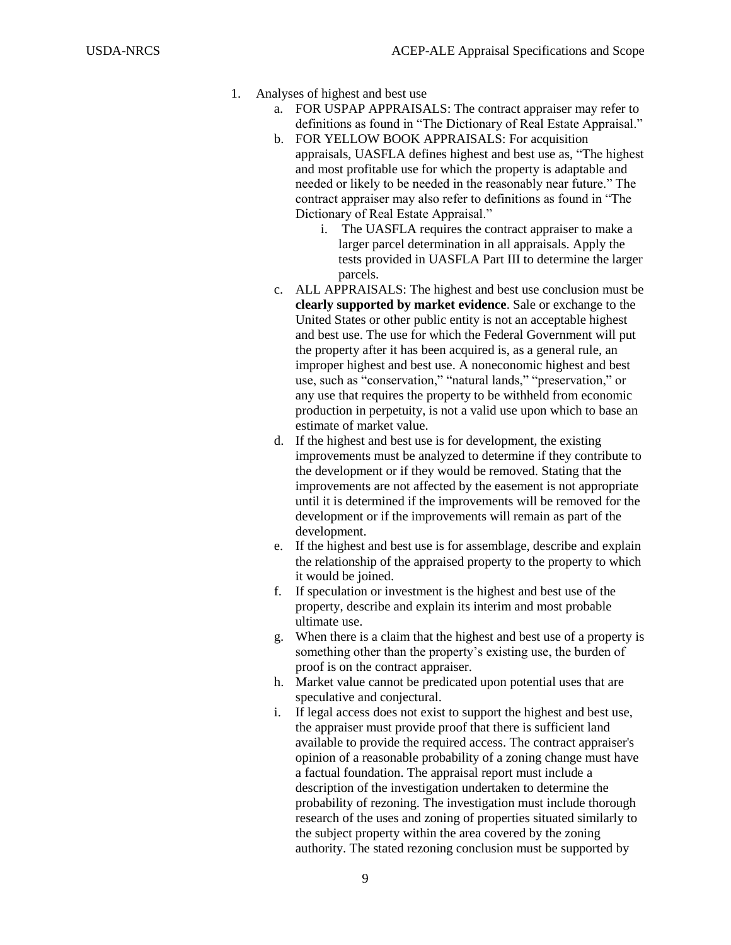- 1. Analyses of highest and best use
	- a. FOR USPAP APPRAISALS: The contract appraiser may refer to definitions as found in "The Dictionary of Real Estate Appraisal."
	- b. FOR YELLOW BOOK APPRAISALS: For acquisition appraisals, UASFLA defines highest and best use as, "The highest and most profitable use for which the property is adaptable and needed or likely to be needed in the reasonably near future." The contract appraiser may also refer to definitions as found in "The Dictionary of Real Estate Appraisal."
		- i. The UASFLA requires the contract appraiser to make a larger parcel determination in all appraisals. Apply the tests provided in UASFLA Part III to determine the larger parcels.
	- c. ALL APPRAISALS: The highest and best use conclusion must be **clearly supported by market evidence**. Sale or exchange to the United States or other public entity is not an acceptable highest and best use. The use for which the Federal Government will put the property after it has been acquired is, as a general rule, an improper highest and best use. A noneconomic highest and best use, such as "conservation," "natural lands," "preservation," or any use that requires the property to be withheld from economic production in perpetuity, is not a valid use upon which to base an estimate of market value.
	- d. If the highest and best use is for development, the existing improvements must be analyzed to determine if they contribute to the development or if they would be removed. Stating that the improvements are not affected by the easement is not appropriate until it is determined if the improvements will be removed for the development or if the improvements will remain as part of the development.
	- e. If the highest and best use is for assemblage, describe and explain the relationship of the appraised property to the property to which it would be joined.
	- f. If speculation or investment is the highest and best use of the property, describe and explain its interim and most probable ultimate use.
	- g. When there is a claim that the highest and best use of a property is something other than the property's existing use, the burden of proof is on the contract appraiser.
	- h. Market value cannot be predicated upon potential uses that are speculative and conjectural.
	- i. If legal access does not exist to support the highest and best use, the appraiser must provide proof that there is sufficient land available to provide the required access. The contract appraiser's opinion of a reasonable probability of a zoning change must have a factual foundation. The appraisal report must include a description of the investigation undertaken to determine the probability of rezoning. The investigation must include thorough research of the uses and zoning of properties situated similarly to the subject property within the area covered by the zoning authority. The stated rezoning conclusion must be supported by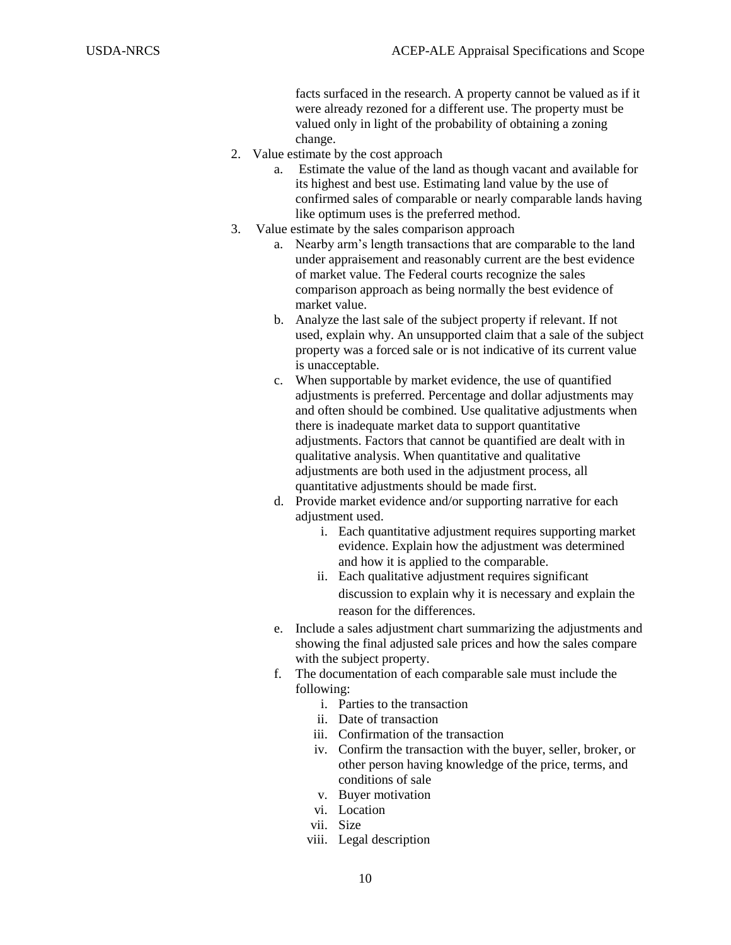facts surfaced in the research. A property cannot be valued as if it were already rezoned for a different use. The property must be valued only in light of the probability of obtaining a zoning change.

- 2. Value estimate by the cost approach
	- a. Estimate the value of the land as though vacant and available for its highest and best use. Estimating land value by the use of confirmed sales of comparable or nearly comparable lands having like optimum uses is the preferred method.
- 3. Value estimate by the sales comparison approach
	- a. Nearby arm's length transactions that are comparable to the land under appraisement and reasonably current are the best evidence of market value. The Federal courts recognize the sales comparison approach as being normally the best evidence of market value.
	- b. Analyze the last sale of the subject property if relevant. If not used, explain why. An unsupported claim that a sale of the subject property was a forced sale or is not indicative of its current value is unacceptable.
	- c. When supportable by market evidence, the use of quantified adjustments is preferred. Percentage and dollar adjustments may and often should be combined. Use qualitative adjustments when there is inadequate market data to support quantitative adjustments. Factors that cannot be quantified are dealt with in qualitative analysis. When quantitative and qualitative adjustments are both used in the adjustment process, all quantitative adjustments should be made first.
	- d. Provide market evidence and/or supporting narrative for each adjustment used.
		- i. Each quantitative adjustment requires supporting market evidence. Explain how the adjustment was determined and how it is applied to the comparable.
		- ii. Each qualitative adjustment requires significant discussion to explain why it is necessary and explain the reason for the differences.
	- e. Include a sales adjustment chart summarizing the adjustments and showing the final adjusted sale prices and how the sales compare with the subject property.
	- f. The documentation of each comparable sale must include the following:
		- i. Parties to the transaction
		- ii. Date of transaction
		- iii. Confirmation of the transaction
		- iv. Confirm the transaction with the buyer, seller, broker, or other person having knowledge of the price, terms, and conditions of sale
		- v. Buyer motivation
		- vi. Location
		- vii. Size
		- viii. Legal description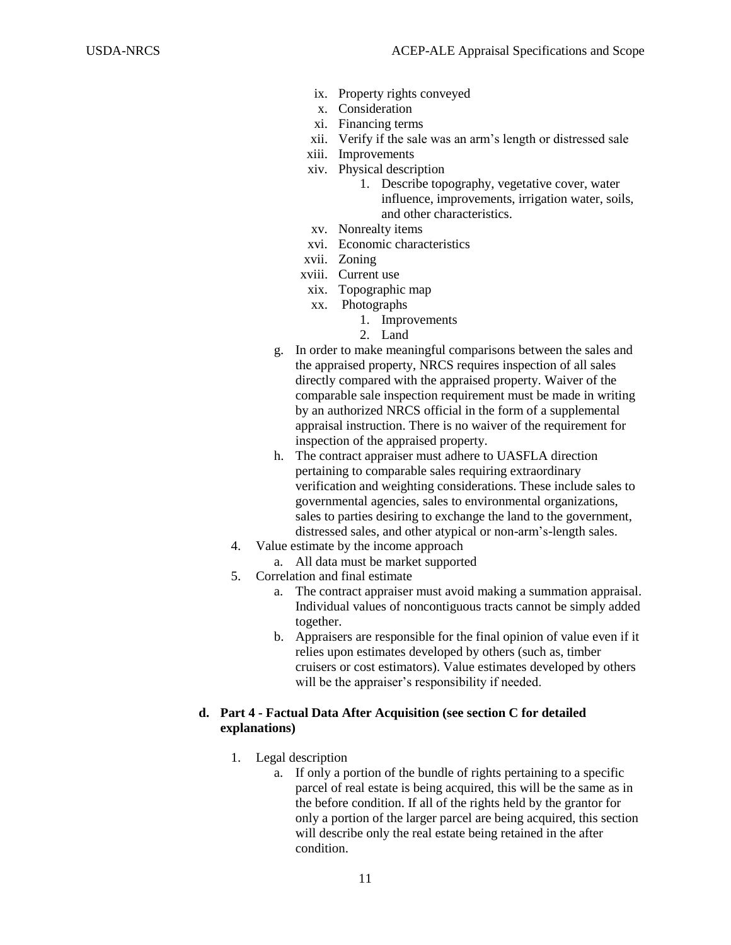- ix. Property rights conveyed
- x. Consideration
- xi. Financing terms
- xii. Verify if the sale was an arm's length or distressed sale
- xiii. Improvements
- xiv. Physical description
	- 1. Describe topography, vegetative cover, water influence, improvements, irrigation water, soils, and other characteristics.
- xv. Nonrealty items
- xvi. Economic characteristics
- xvii. Zoning
- xviii. Current use
	- xix. Topographic map
	- xx. Photographs
		- 1. Improvements
		- 2. Land
- g. In order to make meaningful comparisons between the sales and the appraised property, NRCS requires inspection of all sales directly compared with the appraised property. Waiver of the comparable sale inspection requirement must be made in writing by an authorized NRCS official in the form of a supplemental appraisal instruction. There is no waiver of the requirement for inspection of the appraised property.
- h. The contract appraiser must adhere to UASFLA direction pertaining to comparable sales requiring extraordinary verification and weighting considerations. These include sales to governmental agencies, sales to environmental organizations, sales to parties desiring to exchange the land to the government, distressed sales, and other atypical or non-arm's-length sales.
- 4. Value estimate by the income approach
	- a. All data must be market supported
- 5. Correlation and final estimate
	- a. The contract appraiser must avoid making a summation appraisal. Individual values of noncontiguous tracts cannot be simply added together.
	- b. Appraisers are responsible for the final opinion of value even if it relies upon estimates developed by others (such as, timber cruisers or cost estimators). Value estimates developed by others will be the appraiser's responsibility if needed.

#### **d. Part 4 - Factual Data After Acquisition (see section C for detailed explanations)**

- 1. Legal description
	- a. If only a portion of the bundle of rights pertaining to a specific parcel of real estate is being acquired, this will be the same as in the before condition. If all of the rights held by the grantor for only a portion of the larger parcel are being acquired, this section will describe only the real estate being retained in the after condition.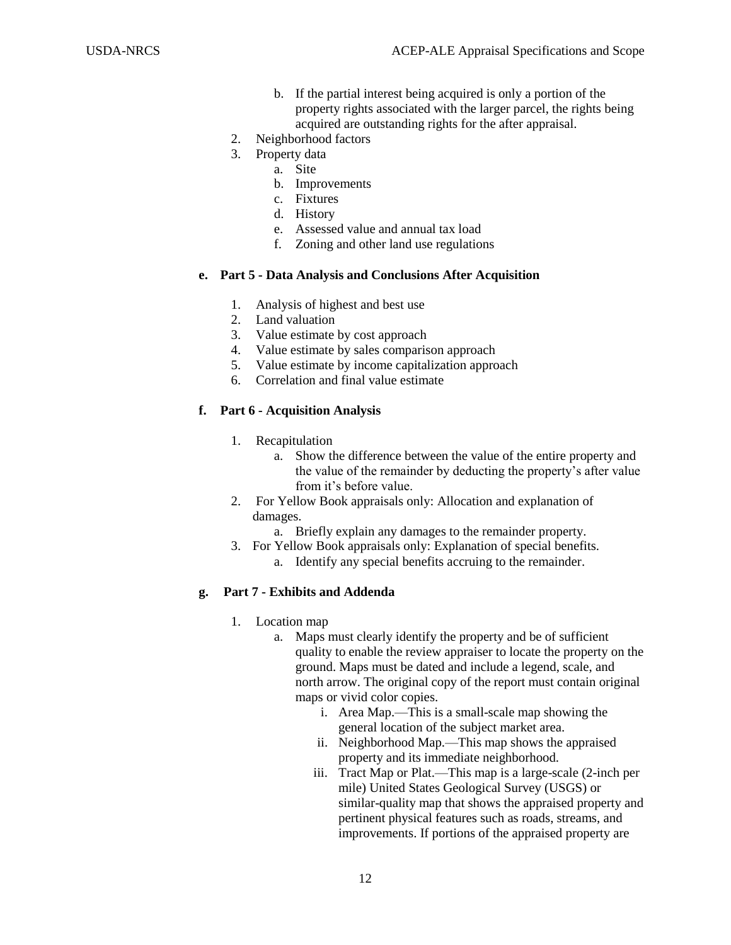- b. If the partial interest being acquired is only a portion of the property rights associated with the larger parcel, the rights being acquired are outstanding rights for the after appraisal.
- 2. Neighborhood factors
- 3. Property data
	- a. Site
	- b. Improvements
	- c. Fixtures
	- d. History
	- e. Assessed value and annual tax load
	- f. Zoning and other land use regulations

#### **e. Part 5 - Data Analysis and Conclusions After Acquisition**

- 1. Analysis of highest and best use
- 2. Land valuation
- 3. Value estimate by cost approach
- 4. Value estimate by sales comparison approach
- 5. Value estimate by income capitalization approach
- 6. Correlation and final value estimate

## **f. Part 6 - Acquisition Analysis**

- 1. Recapitulation
	- a. Show the difference between the value of the entire property and the value of the remainder by deducting the property's after value from it's before value.
- 2. For Yellow Book appraisals only: Allocation and explanation of damages.
	- a. Briefly explain any damages to the remainder property.
- 3. For Yellow Book appraisals only: Explanation of special benefits. a. Identify any special benefits accruing to the remainder.

#### **g. Part 7 - Exhibits and Addenda**

- 1. Location map
	- a. Maps must clearly identify the property and be of sufficient quality to enable the review appraiser to locate the property on the ground. Maps must be dated and include a legend, scale, and north arrow. The original copy of the report must contain original maps or vivid color copies.
		- i. Area Map.—This is a small-scale map showing the general location of the subject market area.
		- ii. Neighborhood Map.—This map shows the appraised property and its immediate neighborhood.
		- iii. Tract Map or Plat.—This map is a large-scale (2-inch per mile) United States Geological Survey (USGS) or similar-quality map that shows the appraised property and pertinent physical features such as roads, streams, and improvements. If portions of the appraised property are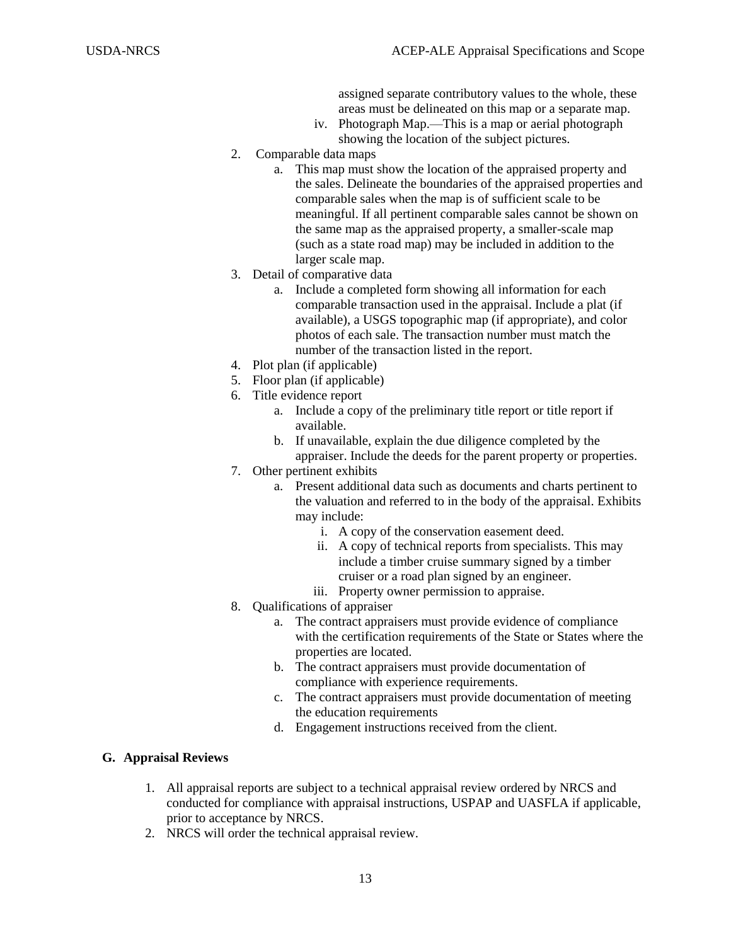assigned separate contributory values to the whole, these areas must be delineated on this map or a separate map.

- iv. Photograph Map.—This is a map or aerial photograph showing the location of the subject pictures.
- 2. Comparable data maps
	- a. This map must show the location of the appraised property and the sales. Delineate the boundaries of the appraised properties and comparable sales when the map is of sufficient scale to be meaningful. If all pertinent comparable sales cannot be shown on the same map as the appraised property, a smaller-scale map (such as a state road map) may be included in addition to the larger scale map.
- 3. Detail of comparative data
	- a. Include a completed form showing all information for each comparable transaction used in the appraisal. Include a plat (if available), a USGS topographic map (if appropriate), and color photos of each sale. The transaction number must match the number of the transaction listed in the report.
- 4. Plot plan (if applicable)
- 5. Floor plan (if applicable)
- 6. Title evidence report
	- a. Include a copy of the preliminary title report or title report if available.
	- b. If unavailable, explain the due diligence completed by the appraiser. Include the deeds for the parent property or properties.
- 7. Other pertinent exhibits
	- a. Present additional data such as documents and charts pertinent to the valuation and referred to in the body of the appraisal. Exhibits may include:
		- i. A copy of the conservation easement deed.
		- ii. A copy of technical reports from specialists. This may include a timber cruise summary signed by a timber cruiser or a road plan signed by an engineer.
		- iii. Property owner permission to appraise.
- 8. Qualifications of appraiser
	- a. The contract appraisers must provide evidence of compliance with the certification requirements of the State or States where the properties are located.
	- b. The contract appraisers must provide documentation of compliance with experience requirements.
	- c. The contract appraisers must provide documentation of meeting the education requirements
	- d. Engagement instructions received from the client.

# **G. Appraisal Reviews**

- 1. All appraisal reports are subject to a technical appraisal review ordered by NRCS and conducted for compliance with appraisal instructions, USPAP and UASFLA if applicable, prior to acceptance by NRCS.
- 2. NRCS will order the technical appraisal review.